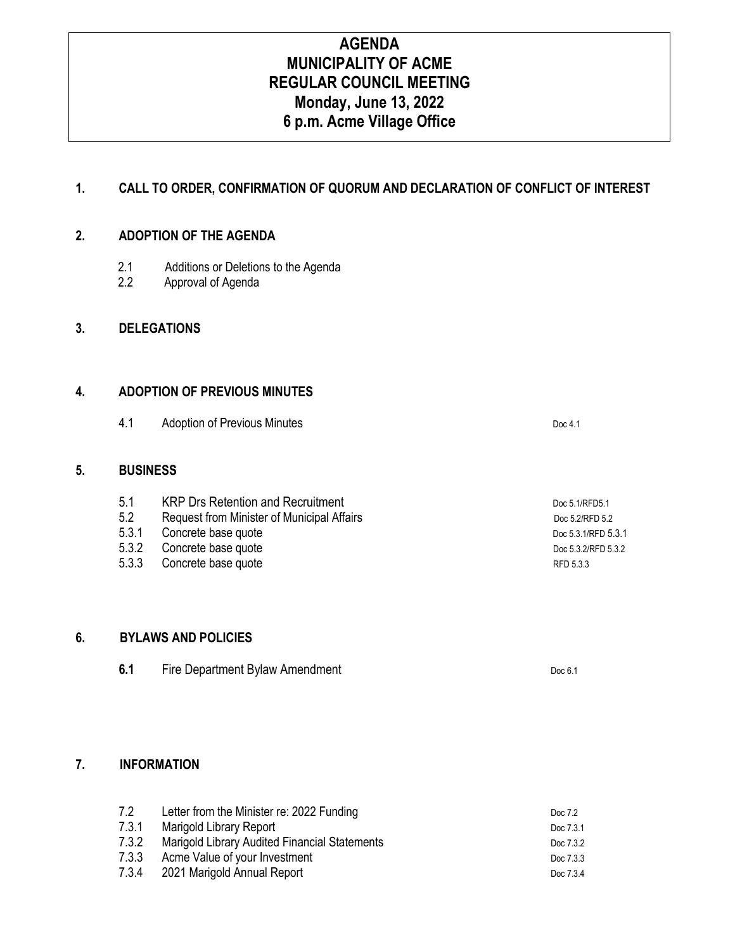# **AGENDA MUNICIPALITY OF ACME REGULAR COUNCIL MEETING Monday, June 13, 2022 6 p.m. Acme Village Office**

## **1. CALL TO ORDER, CONFIRMATION OF QUORUM AND DECLARATION OF CONFLICT OF INTEREST**

#### **2. ADOPTION OF THE AGENDA**

- 2.1 Additions or Deletions to the Agenda<br>2.2 Approval of Agenda
- Approval of Agenda

#### **3. DELEGATIONS**

### **4. ADOPTION OF PREVIOUS MINUTES**

4.1 Adoption of Previous Minutes **Doc 4.1** Doc 4.1

#### **5. BUSINESS**

5.1 KRP Drs Retention and Recruitment Doc 5.1/RFD5.1 5.2 Request from Minister of Municipal Affairs<br>5.3.1 Concrete base quote by a state of the state of the state of the San Poc 5.3.1/RFD 5.2 Concrete base quote Doc 5.3.1/RFD 5.3.1 5.3.2 Concrete base quote **Docessitists** Docessing Docessing Docessing Docessing Docessing Docessing Docessing Docessing Docessing Docessing Docessing Docessing Docessing Docessing Docessing Docessing Docessing Docessing D Concrete base quote **Concrete base quote** RFD 5.3.3

#### **6. BYLAWS AND POLICIES**

| 6.1 | Fire Department Bylaw Amendment | Doc $6.1$ |
|-----|---------------------------------|-----------|
|-----|---------------------------------|-----------|

### **7. INFORMATION**

| 7.2   | Letter from the Minister re: 2022 Funding     | Doc 7.2   |
|-------|-----------------------------------------------|-----------|
| 7.3.1 | Marigold Library Report                       | Doc 7.3.1 |
| 7.3.2 | Marigold Library Audited Financial Statements | Doc 7.3.2 |
| 7.3.3 | Acme Value of your Investment                 | Doc 7.3.3 |
| 7.3.4 | 2021 Marigold Annual Report                   | Doc 7.3.4 |
|       |                                               |           |